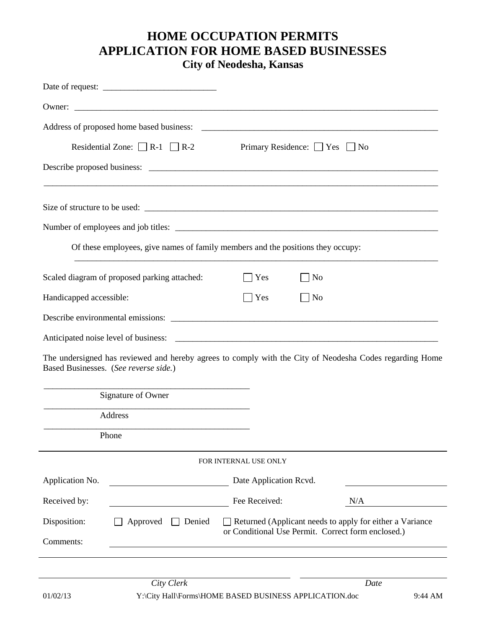## **HOME OCCUPATION PERMITS APPLICATION FOR HOME BASED BUSINESSES**

**City of Neodesha, Kansas**

| Residential Zone: $\Box$ R-1 $\Box$ R-2<br>Primary Residence: Yes No                                         |
|--------------------------------------------------------------------------------------------------------------|
|                                                                                                              |
|                                                                                                              |
|                                                                                                              |
|                                                                                                              |
| Of these employees, give names of family members and the positions they occupy:                              |
| Scaled diagram of proposed parking attached:<br>Yes<br>No                                                    |
| Handicapped accessible:<br>Yes<br>No                                                                         |
|                                                                                                              |
|                                                                                                              |
| The undersigned has reviewed and hereby agrees to comply with the City of Neodesha Codes regarding Home      |
| Based Businesses. (See reverse side.)                                                                        |
| Signature of Owner                                                                                           |
| Address                                                                                                      |
| Phone                                                                                                        |
|                                                                                                              |
| FOR INTERNAL USE ONLY                                                                                        |
| Application No.<br>Date Application Rcvd.                                                                    |
| Received by:<br>Fee Received:<br>N/A                                                                         |
| Disposition:<br>Approved<br>$\Box$ Returned (Applicant needs to apply for either a Variance<br>$\Box$ Denied |
| or Conditional Use Permit. Correct form enclosed.)<br>Comments:                                              |
|                                                                                                              |
| City Clerk<br>Date                                                                                           |